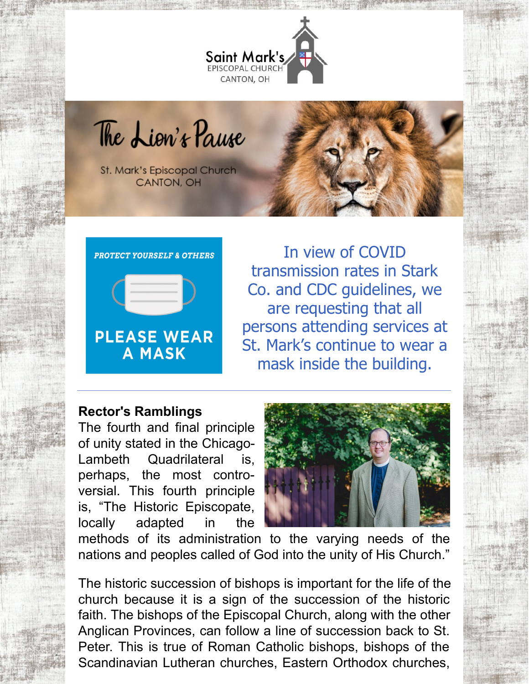

The Lion's Pause

St. Mark's Episcopal Church CANTON, OH



In view of COVID transmission rates in Stark Co. and CDC guidelines, we are requesting that all persons attending services at St. Mark's continue to wear a mask inside the building.

### **Rector's Ramblings**

The fourth and final principle of unity stated in the Chicago-Lambeth Quadrilateral is, perhaps, the most controversial. This fourth principle is, "The Historic Episcopate, locally adapted in the



methods of its administration to the varying needs of the nations and peoples called of God into the unity of His Church."

The historic succession of bishops is important for the life of the church because it is a sign of the succession of the historic faith. The bishops of the Episcopal Church, along with the other Anglican Provinces, can follow a line of succession back to St. Peter. This is true of Roman Catholic bishops, bishops of the Scandinavian Lutheran churches, Eastern Orthodox churches,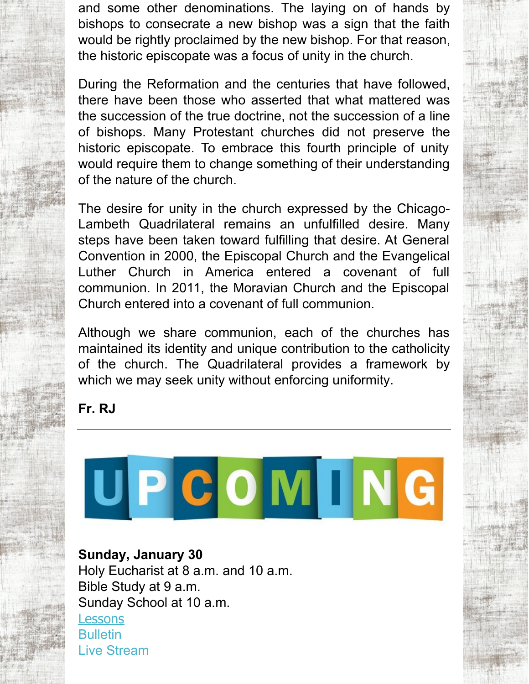and some other denominations. The laying on of hands by bishops to consecrate a new bishop was a sign that the faith would be rightly proclaimed by the new bishop. For that reason, the historic episcopate was a focus of unity in the church.

During the Reformation and the centuries that have followed, there have been those who asserted that what mattered was the succession of the true doctrine, not the succession of a line of bishops. Many Protestant churches did not preserve the historic episcopate. To embrace this fourth principle of unity would require them to change something of their understanding of the nature of the church.

The desire for unity in the church expressed by the Chicago-Lambeth Quadrilateral remains an unfulfilled desire. Many steps have been taken toward fulfilling that desire. At General Convention in 2000, the Episcopal Church and the Evangelical Luther Church in America entered a covenant of full communion. In 2011, the Moravian Church and the Episcopal Church entered into a covenant of full communion.

Although we share communion, each of the churches has maintained its identity and unique contribution to the catholicity of the church. The Quadrilateral provides a framework by which we may seek unity without enforcing uniformity.

**Fr. RJ**



# **Sunday, January 30**

Holy Eucharist at 8 a.m. and 10 a.m. Bible Study at 9 a.m. Sunday School at 10 a.m. **[Lessons](http://lectionarypage.net/YearC_RCL/Epiphany/CEpi4_RCL.html) [Bulletin](https://files.constantcontact.com/32ed7374201/79a369b2-d48f-4d51-bd99-bb1eb272c053.pdf)** Live [Stream](https://www.facebook.com/stmarks.canton)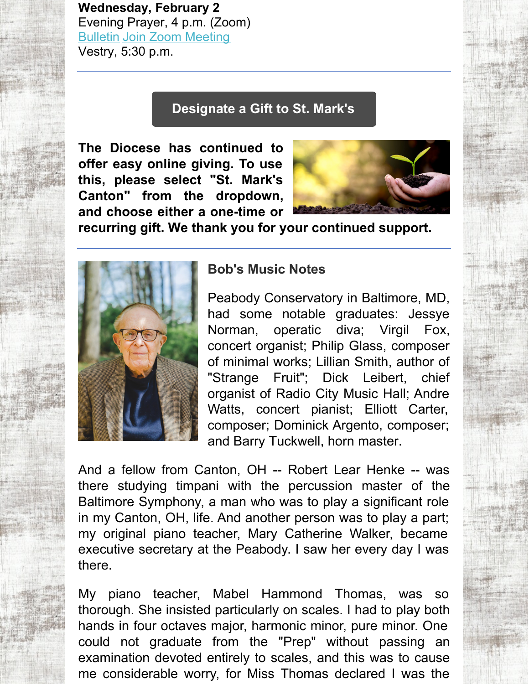**Wednesday, February 2** Evening Prayer, 4 p.m. (Zoom) [Bulletin](https://files.constantcontact.com/32ed7374201/a0204570-0b90-4bd8-aa09-67ef270c30fc.pdf) Join Zoom [Meeting](https://us06web.zoom.us/j/84112908068?pwd=bURTSFhyMEdZN20zblY3WU03V1lpZz09) Vestry, 5:30 p.m.

### **[Designate](https://dohio.org/designate-a-gift-to-your-parish) a Gift to St. Mark's**

**The Diocese has continued to offer easy online giving. To use this, please select "St. Mark's Canton" from the dropdown, and choose either a one-time or**



**recurring gift. We thank you for your continued support.**



### **Bob's Music Notes**

Peabody Conservatory in Baltimore, MD, had some notable graduates: Jessye Norman, operatic diva; Virgil Fox, concert organist; Philip Glass, composer of minimal works; Lillian Smith, author of "Strange Fruit"; Dick Leibert, chief organist of Radio City Music Hall; Andre Watts, concert pianist; Elliott Carter, composer; Dominick Argento, composer; and Barry Tuckwell, horn master.

And a fellow from Canton, OH -- Robert Lear Henke -- was there studying timpani with the percussion master of the Baltimore Symphony, a man who was to play a significant role in my Canton, OH, life. And another person was to play a part; my original piano teacher, Mary Catherine Walker, became executive secretary at the Peabody. I saw her every day I was there.

My piano teacher, Mabel Hammond Thomas, was so thorough. She insisted particularly on scales. I had to play both hands in four octaves major, harmonic minor, pure minor. One could not graduate from the "Prep" without passing an examination devoted entirely to scales, and this was to cause me considerable worry, for Miss Thomas declared I was the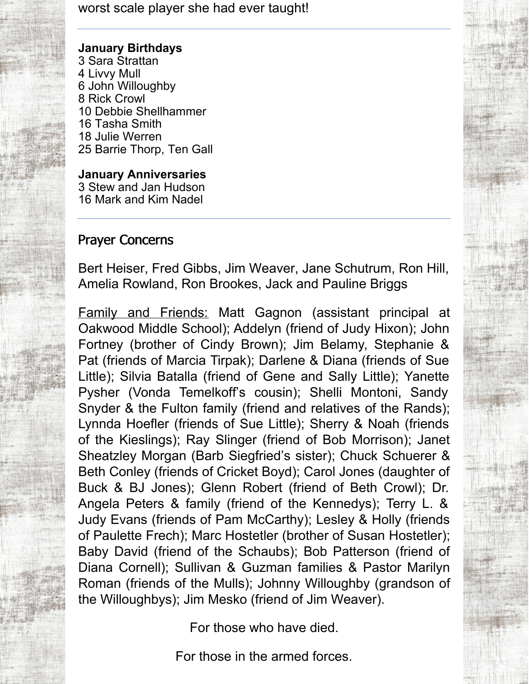worst scale player she had ever taught!

#### **January Birthdays**

 Sara Strattan Livvy Mull John Willoughby Rick Crowl Debbie Shellhammer Tasha Smith Julie Werren Barrie Thorp, Ten Gall

**January Anniversaries** 3 Stew and Jan Hudson 16 Mark and Kim Nadel

### Prayer Concerns

Bert Heiser, Fred Gibbs, Jim Weaver, Jane Schutrum, Ron Hill, Amelia Rowland, Ron Brookes, Jack and Pauline Briggs

Family and Friends: Matt Gagnon (assistant principal at Oakwood Middle School); Addelyn (friend of Judy Hixon); John Fortney (brother of Cindy Brown); Jim Belamy, Stephanie & Pat (friends of Marcia Tirpak); Darlene & Diana (friends of Sue Little); Silvia Batalla (friend of Gene and Sally Little); Yanette Pysher (Vonda Temelkoff's cousin); Shelli Montoni, Sandy Snyder & the Fulton family (friend and relatives of the Rands); Lynnda Hoefler (friends of Sue Little); Sherry & Noah (friends of the Kieslings); Ray Slinger (friend of Bob Morrison); Janet Sheatzley Morgan (Barb Siegfried's sister); Chuck Schuerer & Beth Conley (friends of Cricket Boyd); Carol Jones (daughter of Buck & BJ Jones); Glenn Robert (friend of Beth Crowl); Dr. Angela Peters & family (friend of the Kennedys); Terry L. & Judy Evans (friends of Pam McCarthy); Lesley & Holly (friends of Paulette Frech); Marc Hostetler (brother of Susan Hostetler); Baby David (friend of the Schaubs); Bob Patterson (friend of Diana Cornell); Sullivan & Guzman families & Pastor Marilyn Roman (friends of the Mulls); Johnny Willoughby (grandson of the Willoughbys); Jim Mesko (friend of Jim Weaver).

For those who have died.

For those in the armed forces.